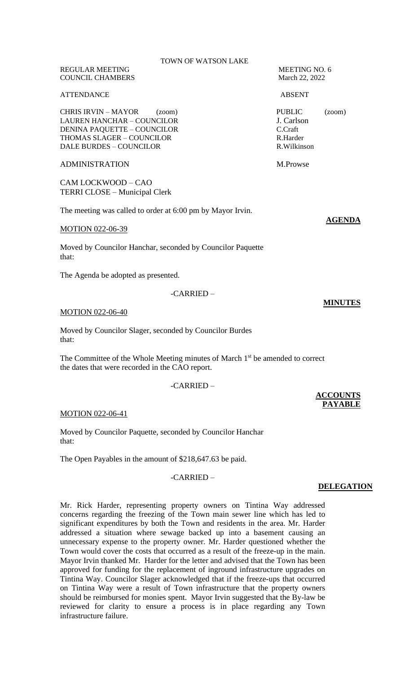REGULAR MEETING MEETING NO. 6 **COUNCIL CHAMBERS** 

#### ATTENDANCE ABSENT

CHRIS IRVIN – MAYOR (zoom) PUBLIC (zoom) LAUREN HANCHAR – COUNCILOR J. Carlson<br>DENINA PAOUETTE – COUNCILOR C.Craft DENINA PAQUETTE – COUNCILOR C.Craft<br>THOMAS SLAGER – COUNCILOR R.Harder THOMAS SLAGER – COUNCILOR R.Harder<br>
DALE BURDES – COUNCILOR R.Wilkinson DALE BURDES – COUNCILOR

## ADMINISTRATION M.Prowse

CAM LOCKWOOD – CAO TERRI CLOSE – Municipal Clerk

The meeting was called to order at 6:00 pm by Mayor Irvin.

#### MOTION 022-06-39

Moved by Councilor Hanchar, seconded by Councilor Paquette that:

The Agenda be adopted as presented.

### -CARRIED –

#### MOTION 022-06-40

Moved by Councilor Slager, seconded by Councilor Burdes that:

The Committee of the Whole Meeting minutes of March  $1<sup>st</sup>$  be amended to correct the dates that were recorded in the CAO report.

#### -CARRIED –

#### MOTION 022-06-41

Moved by Councilor Paquette, seconded by Councilor Hanchar that:

The Open Payables in the amount of \$218,647.63 be paid.

# -CARRIED –

## Mr. Rick Harder, representing property owners on Tintina Way addressed concerns regarding the freezing of the Town main sewer line which has led to significant expenditures by both the Town and residents in the area. Mr. Harder addressed a situation where sewage backed up into a basement causing an unnecessary expense to the property owner. Mr. Harder questioned whether the Town would cover the costs that occurred as a result of the freeze-up in the main. Mayor Irvin thanked Mr. Harder for the letter and advised that the Town has been approved for funding for the replacement of inground infrastructure upgrades on Tintina Way. Councilor Slager acknowledged that if the freeze-ups that occurred on Tintina Way were a result of Town infrastructure that the property owners should be reimbursed for monies spent. Mayor Irvin suggested that the By-law be reviewed for clarity to ensure a process is in place regarding any Town infrastructure failure.

**AGENDA**

## **MINUTES**

**ACCOUNTS PAYABLE**

## **DELEGATION**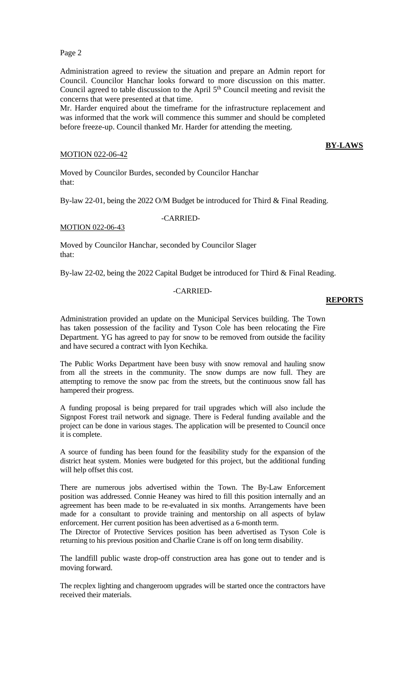Page 2

Administration agreed to review the situation and prepare an Admin report for Council. Councilor Hanchar looks forward to more discussion on this matter. Council agreed to table discussion to the April  $5<sup>th</sup>$  Council meeting and revisit the concerns that were presented at that time.

Mr. Harder enquired about the timeframe for the infrastructure replacement and was informed that the work will commence this summer and should be completed before freeze-up. Council thanked Mr. Harder for attending the meeting.

## MOTION 022-06-42

## **BY-LAWS**

Moved by Councilor Burdes, seconded by Councilor Hanchar that:

By-law 22-01, being the 2022 O/M Budget be introduced for Third & Final Reading.

-CARRIED-

MOTION 022-06-43

Moved by Councilor Hanchar, seconded by Councilor Slager that:

By-law 22-02, being the 2022 Capital Budget be introduced for Third & Final Reading.

## -CARRIED-

## **REPORTS**

Administration provided an update on the Municipal Services building. The Town has taken possession of the facility and Tyson Cole has been relocating the Fire Department. YG has agreed to pay for snow to be removed from outside the facility and have secured a contract with Iyon Kechika.

The Public Works Department have been busy with snow removal and hauling snow from all the streets in the community. The snow dumps are now full. They are attempting to remove the snow pac from the streets, but the continuous snow fall has hampered their progress.

A funding proposal is being prepared for trail upgrades which will also include the Signpost Forest trail network and signage. There is Federal funding available and the project can be done in various stages. The application will be presented to Council once it is complete.

A source of funding has been found for the feasibility study for the expansion of the district heat system. Monies were budgeted for this project, but the additional funding will help offset this cost.

There are numerous jobs advertised within the Town. The By-Law Enforcement position was addressed. Connie Heaney was hired to fill this position internally and an agreement has been made to be re-evaluated in six months. Arrangements have been made for a consultant to provide training and mentorship on all aspects of bylaw enforcement. Her current position has been advertised as a 6-month term.

The Director of Protective Services position has been advertised as Tyson Cole is returning to his previous position and Charlie Crane is off on long term disability.

The landfill public waste drop-off construction area has gone out to tender and is moving forward.

The recplex lighting and changeroom upgrades will be started once the contractors have received their materials.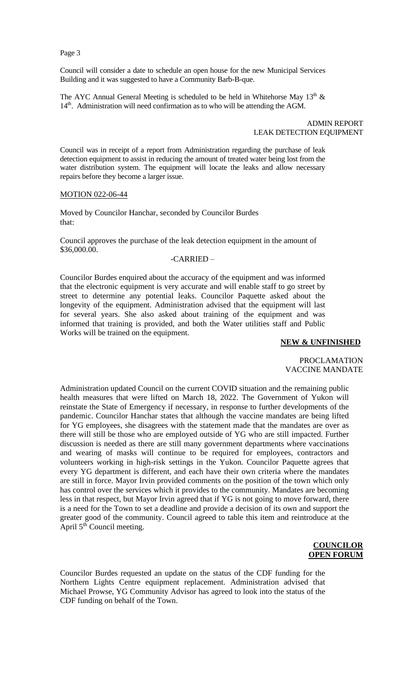Page 3

Council will consider a date to schedule an open house for the new Municipal Services Building and it was suggested to have a Community Barb-B-que.

The AYC Annual General Meeting is scheduled to be held in Whitehorse May  $13<sup>th</sup>$  & 14<sup>th</sup>. Administration will need confirmation as to who will be attending the AGM.

> ADMIN REPORT LEAK DETECTION EQUIPMENT

Council was in receipt of a report from Administration regarding the purchase of leak detection equipment to assist in reducing the amount of treated water being lost from the water distribution system. The equipment will locate the leaks and allow necessary repairs before they become a larger issue.

#### MOTION 022-06-44

Moved by Councilor Hanchar, seconded by Councilor Burdes that:

Council approves the purchase of the leak detection equipment in the amount of \$36,000.00.

## -CARRIED –

Councilor Burdes enquired about the accuracy of the equipment and was informed that the electronic equipment is very accurate and will enable staff to go street by street to determine any potential leaks. Councilor Paquette asked about the longevity of the equipment. Administration advised that the equipment will last for several years. She also asked about training of the equipment and was informed that training is provided, and both the Water utilities staff and Public Works will be trained on the equipment.

## **NEW & UNFINISHED**

## PROCLAMATION VACCINE MANDATE

Administration updated Council on the current COVID situation and the remaining public health measures that were lifted on March 18, 2022. The Government of Yukon will reinstate the State of Emergency if necessary, in response to further developments of the pandemic. Councilor Hanchar states that although the vaccine mandates are being lifted for YG employees, she disagrees with the statement made that the mandates are over as there will still be those who are employed outside of YG who are still impacted. Further discussion is needed as there are still many government departments where vaccinations and wearing of masks will continue to be required for employees, contractors and volunteers working in high-risk settings in the Yukon. Councilor Paquette agrees that every YG department is different, and each have their own criteria where the mandates are still in force. Mayor Irvin provided comments on the position of the town which only has control over the services which it provides to the community. Mandates are becoming less in that respect, but Mayor Irvin agreed that if YG is not going to move forward, there is a need for the Town to set a deadline and provide a decision of its own and support the greater good of the community. Council agreed to table this item and reintroduce at the April  $5^{th}$  Council meeting.

## **COUNCILOR OPEN FORUM**

Councilor Burdes requested an update on the status of the CDF funding for the Northern Lights Centre equipment replacement. Administration advised that Michael Prowse, YG Community Advisor has agreed to look into the status of the CDF funding on behalf of the Town.